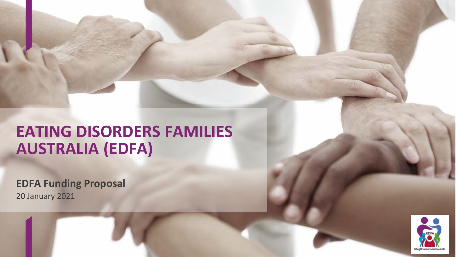# **EATING DISORDERS FAMILIES AUSTRALIA (EDFA)**

**EDFA Funding Proposal** 20 January 2021

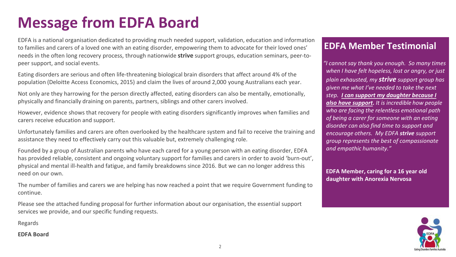# **Message from EDFA Board**

EDFA is a national organisation dedicated to providing much needed support, validation, education and information to families and carers of a loved one with an eating disorder, empowering them to advocate for their loved ones' needs in the often long recovery process, through nationwide **strive** support groups, education seminars, peer-topeer support, and social events.

Eating disorders are serious and often life-threatening biological brain disorders that affect around 4% of the population (Deloitte Access Economics, 2015) and claim the lives of around 2,000 young Australians each year.

Not only are they harrowing for the person directly affected, eating disorders can also be mentally, emotionally, physically and financially draining on parents, partners, siblings and other carers involved.

However, evidence shows that recovery for people with eating disorders significantly improves when families and carers receive education and support.

Unfortunately families and carers are often overlooked by the healthcare system and fail to receive the training and assistance they need to effectively carry out this valuable but, extremely challenging role.

Founded by a group of Australian parents who have each cared for a young person with an eating disorder, EDFA has provided reliable, consistent and ongoing voluntary support for families and carers in order to avoid 'burn-out', physical and mental ill-health and fatigue, and family breakdowns since 2016. But we can no longer address this need on our own.

The number of families and carers we are helping has now reached a point that we require Government funding to continue.

Please see the attached funding proposal for further information about our organisation, the essential support services we provide, and our specific funding requests.

Regards

### **EDFA Board**

### **EDFA Member Testimonial**

*"I cannot say thank you enough. So many times when I have felt hopeless, lost or angry, or just plain exhausted, my strive support group has given me what I've needed to take the next step. I can support my daughter because I also have support. It is incredible how people who are facing the relentless emotional path of being a carer for someone with an eating disorder can also find time to support and encourage others. My EDFA strive support group represents the best of compassionate and empathic humanity."*

**EDFA Member, caring for a 16 year old daughter with Anorexia Nervosa**

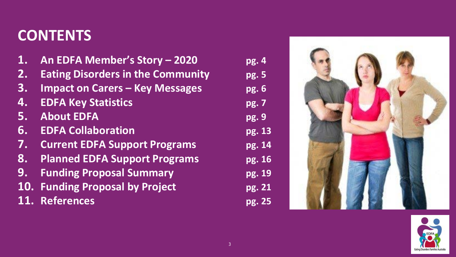# **CONTENTS**

- **1. An EDFA Member's Story – 2020 pg. 4**
- **2. Eating Disorders in the Community pg. 5**
- **3. Impact on Carers – Key Messages pg. 6**
- **4. EDFA Key Statistics pg. 7**
- **5. About EDFA pg. 9**
- **6. EDFA Collaboration pg. 13**
- **7. Current EDFA Support Programs pg. 14**
- **8. Planned EDFA Support Programs pg. 16**
- **9. Funding Proposal Summary pg. 19**
- **10. Funding Proposal by Project pg. 21**
- **11. References pg. 25**
- 



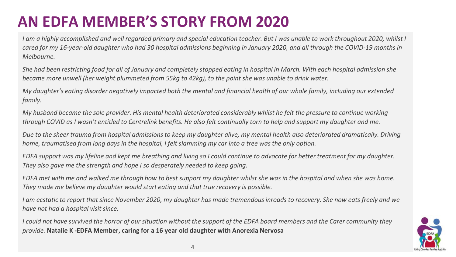# **AN EDFA MEMBER'S STORY FROM 2020**

*I am a highly accomplished and well regarded primary and special education teacher. But I was unable to work throughout 2020, whilst I cared for my 16-year-old daughter who had 30 hospital admissions beginning in January 2020, and all through the COVID-19 months in Melbourne.* 

*She had been restricting food for all of January and completely stopped eating in hospital in March. With each hospital admission she became more unwell (her weight plummeted from 55kg to 42kg), to the point she was unable to drink water.* 

*My daughter's eating disorder negatively impacted both the mental and financial health of our whole family, including our extended family.* 

*My husband became the sole provider. His mental health deteriorated considerably whilst he felt the pressure to continue working through COVID as I wasn't entitled to Centrelink benefits. He also felt continually torn to help and support my daughter and me.*

*Due to the sheer trauma from hospital admissions to keep my daughter alive, my mental health also deteriorated dramatically. Driving home, traumatised from long days in the hospital, I felt slamming my car into a tree was the only option.* 

*EDFA support was my lifeline and kept me breathing and living so I could continue to advocate for better treatment for my daughter. They also gave me the strength and hope I so desperately needed to keep going.* 

*EDFA met with me and walked me through how to best support my daughter whilst she was in the hospital and when she was home. They made me believe my daughter would start eating and that true recovery is possible.* 

*I am ecstatic to report that since November 2020, my daughter has made tremendous inroads to recovery. She now eats freely and we have not had a hospital visit since.* 

*I could not have survived the horror of our situation without the support of the EDFA board members and the Carer community they provide.* **Natalie K -EDFA Member, caring for a 16 year old daughter with Anorexia Nervosa**

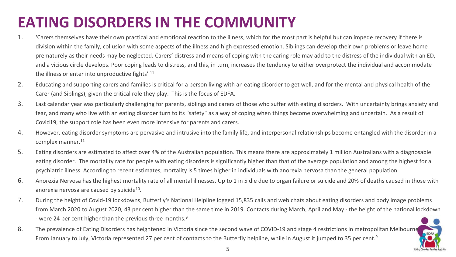# **EATING DISORDERS IN THE COMMUNITY**

- 1. 'Carers themselves have their own practical and emotional reaction to the illness, which for the most part is helpful but can impede recovery if there is division within the family, collusion with some aspects of the illness and high expressed emotion. Siblings can develop their own problems or leave home prematurely as their needs may be neglected. Carers' distress and means of coping with the caring role may add to the distress of the individual with an ED, and a vicious circle develops. Poor coping leads to distress, and this, in turn, increases the tendency to either overprotect the individual and accommodate the illness or enter into unproductive fights' 11
- 2. Educating and supporting carers and families is critical for a person living with an eating disorder to get well, and for the mental and physical health of the Carer (and Siblings), given the critical role they play. This is the focus of EDFA.
- 3. Last calendar year was particularly challenging for parents, siblings and carers of those who suffer with eating disorders. With uncertainty brings anxiety and fear, and many who live with an eating disorder turn to its "safety" as a way of coping when things become overwhelming and uncertain. As a result of Covid19, the support role has been even more intensive for parents and carers.
- 4. However, eating disorder symptoms are pervasive and intrusive into the family life, and interpersonal relationships become entangled with the disorder in a complex manner.<sup>11</sup>
- 5. Eating disorders are estimated to affect over 4% of the Australian population. This means there are approximately 1 million Australians with a diagnosable eating disorder. The mortality rate for people with eating disorders is significantly higher than that of the average population and among the highest for a psychiatric illness. According to recent estimates, mortality is 5 times higher in individuals with anorexia nervosa than the general population.
- 6. Anorexia Nervosa has the highest mortality rate of all mental illnesses. Up to 1 in 5 die due to organ failure or suicide and 20% of deaths caused in those with anorexia nervosa are caused by suicide<sup>10</sup>.
- 7. During the height of Covid-19 lockdowns, Butterfly's National Helpline logged 15,835 calls and web chats about eating disorders and body image problems from March 2020 to August 2020, 43 per cent higher than the same time in 2019. Contacts during March, April and May - the height of the national lockdown - were 24 per cent higher than the previous three months.<sup>9</sup>

EDFA

8. The prevalence of Eating Disorders has heightened in Victoria since the second wave of COVID-19 and stage 4 restrictions in metropolitan Melbourne From January to July, Victoria represented 27 per cent of contacts to the Butterfly helpline, while in August it jumped to 35 per cent.<sup>9</sup>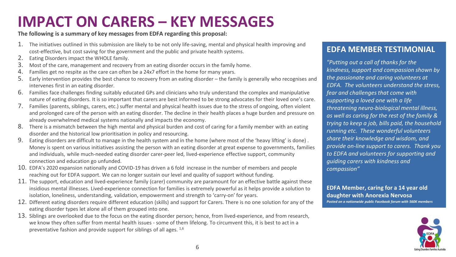### **IMPACT ON CARERS – KEY MESSAGES**

**The following is a summary of key messages from EDFA regarding this proposal:**

- 1. The initiatives outlined in this submission are likely to be not only life-saving, mental and physical health improving and cost-effective, but cost saving for the government and the public and private health systems.
- 2. Eating Disorders impact the WHOLE family.
- 3. Most of the care, management and recovery from an eating disorder occurs in the family home.
- 4. Families get no respite as the care can often be a 24x7 effort in the home for many years.
- 5. Early intervention provides the best chance to recovery from an eating disorder the family is generally who recognises and intervenes first in an eating disorder.
- 6. Families face challenges finding suitably educated GPs and clinicians who truly understand the complex and manipulative nature of eating disorders. It is so important that carers are best informed to be strong advocates for their loved one's care.
- 7. Families (parents, siblings, carers, etc.) suffer mental and physical health issues due to the stress of ongoing, often violent and prolonged care of the person with an eating disorder. The decline in their health places a huge burden and pressure on already overwhelmed medical systems nationally and impacts the economy.
- 8. There is a mismatch between the high mental and physical burden and cost of caring for a family member with an eating disorder and the historical low prioritisation in policy and resourcing.
- 9. Eating disorders are difficult to manage in the health system and in the home (where most of the 'heavy lifting' is done) . Money is spent on various initiatives assisting the person with an eating disorder at great expense to governments, families and individuals, while much-needed eating disorder carer-peer led, lived-experience effective support, community connection and education go unfunded.
- 10. EDFA's 2020 expansion nationally and COVID-19 has driven a 6 fold increase in the number of members and people reaching out for EDFA support. We can no longer sustain our level and quality of support without funding.
- 11. The support, education and lived-experience family (carer) community are paramount for an effective battle against these insidious mental illnesses. Lived-experience connection for families is extremely powerful as it helps provide a solution to isolation, loneliness, understanding, validation, empowerment and strength to 'carry-on' for years.
- 12. Different eating disorders require different education (skills) and support for Carers. There is no one solution for any of the eating disorder types let alone all of them grouped into one.
- 13. Siblings are overlooked due to the focus on the eating disorder person; hence, from lived-experience, and from research, we know they often suffer from mental health issues - some of them lifelong. To circumvent this, it is best to act in a preventative fashion and provide support for siblings of all ages. 1,6

### **EDFA MEMBER TESTIMONIAL**

*"Putting out a call of thanks for the kindness, support and compassion shown by the passionate and caring volunteers at EDFA. The volunteers understand the stress, fear and challenges that come with supporting a loved one with a life threatening neuro-biological mental illness, as well as caring for the rest of the family & trying to keep a job, bills paid, the household running etc. These wonderful volunteers share their knowledge and wisdom, and provide on-line support to carers. Thank you to EDFA and volunteers for supporting and guiding carers with kindness and compassion"*

**EDFA Member, caring for a 14 year old daughter with Anorexia Nervosa**  *Posted on a nationwide public Facebook forum with 560K members*

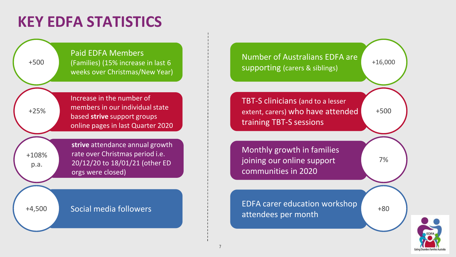## **KEY EDFA STATISTICS**





7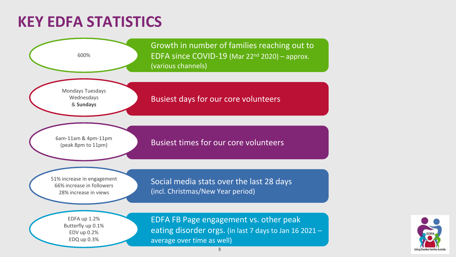### **KEY EDFA STATISTICS**



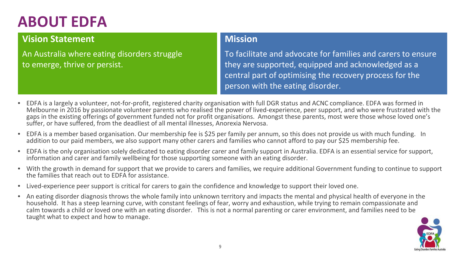# **ABOUT EDFA**

### **Vision Statement**

An Australia where eating disorders struggle to emerge, thrive or persist.

### **Mission**

To facilitate and advocate for families and carers to ensure they are supported, equipped and acknowledged as a central part of optimising the recovery process for the person with the eating disorder.

- EDFA is a largely a volunteer, not-for-profit, registered charity organisation with full DGR status and ACNC compliance. EDFA was formed in Melbourne in 2016 by passionate volunteer parents who realised the power of lived-experience, peer support, and who were frustrated with the gaps in the existing offerings of government funded not for profit organisations. Amongst these parents, most were those whose loved one's suffer, or have suffered, from the deadliest of all mental illnesses, Anorexia Nervosa.
- EDFA is a member based organisation. Our membership fee is \$25 per family per annum, so this does not provide us with much funding. In addition to our paid members, we also support many other carers and families who cannot afford to pay our \$25 membership fee.
- EDFA is the only organisation solely dedicated to eating disorder carer and family support in Australia. EDFA is an essential service for support, information and carer and family wellbeing for those supporting someone with an eating disorder.
- With the growth in demand for support that we provide to carers and families, we require additional Government funding to continue to support the families that reach out to EDFA for assistance.
- Lived-experience peer support is critical for carers to gain the confidence and knowledge to support their loved one.
- An eating disorder diagnosis throws the whole family into unknown territory and impacts the mental and physical health of everyone in the household. It has a steep learning curve, with constant feelings of fear, worry and exhaustion, while trying to remain compassionate and calm towards a child or loved one with an eating disorder. This is not a normal parenting or carer environment, and families need to be taught what to expect and how to manage.

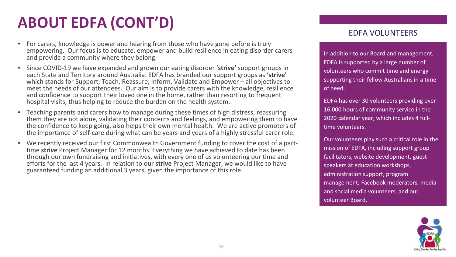# **ABOUT EDFA (CONT'D)**

- For carers, knowledge is power and hearing from those who have gone before is truly empowering. Our focus is to educate, empower and build resilience in eating disorder carers and provide a community where they belong.
- Since COVID-19 we have expanded and grown our eating disorder '**strive'** support groups in each State and Territory around Australia. EDFA has branded our support groups as **'strive'**  which stands for Support, Teach, Reassure, Inform, Validate and Empower – all objectives to meet the needs of our attendees. Our aim is to provide carers with the knowledge, resilience and confidence to support their loved one in the home, rather than resorting to frequent hospital visits, thus helping to reduce the burden on the health system.
- Teaching parents and carers how to manage during these times of high distress, reassuring them they are not alone, validating their concerns and feelings, and empowering them to have the confidence to keep going, also helps their own mental health. We are active promoters of the importance of self-care during what can be years and years of a highly stressful carer role.
- We recently received our first Commonwealth Government funding to cover the cost of a part- time **strive** Project Manager for 12 months. Everything we have achieved to date has been through our own fundraising and initiatives, with every one of us volunteering our time and efforts for the last 4 years. In relation to our **strive** Project Manager, we would like to have guaranteed funding an additional 3 years, given the importance of this role.

### EDFA VOLUNTEERS

In addition to our Board and management, EDFA is supported by a large number of volunteers who commit time and energy supporting their fellow Australians in a time of need.

EDFA has over 30 volunteers providing over 16,000 hours of community service in the 2020 calendar year, which includes 4 fulltime volunteers.

Our volunteers play such a critical role in the mission of EDFA, including support group facilitators, website development, guest speakers at education workshops, administration support, program management, Facebook moderators, media and social media volunteers, and our volunteer Board.

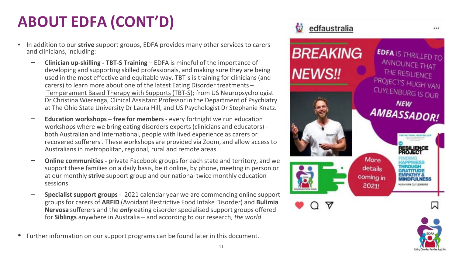# **ABOUT EDFA (CONT'D)**

- In addition to our **strive** support groups, EDFA provides many other services to carers and clinicians, including:
	- ‒ **Clinician up-skilling - TBT-S Training**  EDFA is mindful of the importance of developing and supporting skilled professionals, and making sure they are being used in the most effective and equitable way. TBT-s is training for clinicians (and carers) to learn more about one of the latest Eating Disorder treatments – [Temperament Based Therapy with Supports \(TBT-S\)](https://edfa.org.au/clinicians/tbt-s/); from US Neuropsychologist Dr Christina Wierenga, Clinical Assistant Professor in the Department of Psychiatry at The Ohio State University Dr Laura Hill, and US Psychologist Dr Stephanie Knatz.
	- ‒ **Education workshops – free for members** every fortnight we run education workshops where we bring eating disorders experts (clinicians and educators) both Australian and International, people with lived experience as carers or recovered sufferers . These workshops are provided via Zoom, and allow access to Australians in metropolitan, regional, rural and remote areas.
	- ‒ **Online communities -** private Facebook groups for each state and territory, and we support these families on a daily basis, be it online, by phone, meeting in person or at our monthly **strive** support group and our national twice monthly education sessions.
	- ‒ **Specialist support groups**  2021 calendar year we are commencing online support groups for carers of **ARFID** (Avoidant Restrictive Food Intake Disorder) and **Bulimia Nervosa** sufferers and the *only* eating disorder specialised support groups offered for **Siblings** anywhere in Australia – and according to our research, *the world*
- Further information on our support programs can be found later in this document.



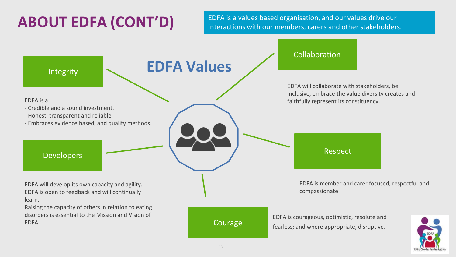**ABOUT EDFA (CONT'D)** EDFA is a values based organisation, and our values drive our interactions with our members, carers and other stakeholders interactions with our members, carers and other stakeholders.

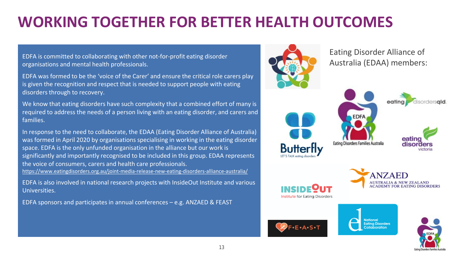# **WORKING TOGETHER FOR BETTER HEALTH OUTCOMES**

EDFA is committed to collaborating with other not-for-profit eating disorder organisations and mental health professionals.

EDFA was formed to be the 'voice of the Carer' and ensure the critical role carers play is given the recognition and respect that is needed to support people with eating disorders through to recovery.

We know that eating disorders have such complexity that a combined effort of many is required to address the needs of a person living with an eating disorder, and carers and families.

In response to the need to collaborate, the EDAA (Eating Disorder Alliance of Australia) was formed in April 2020 by organisations specialising in working in the eating disorder space. EDFA is the only unfunded organisation in the alliance but our work is significantly and importantly recognised to be included in this group. EDAA represents the voice of consumers, carers and health care professionals. <https://www.eatingdisorders.org.au/joint-media-release-new-eating-disorders-alliance-australia/>

EDFA is also involved in national research projects with InsideOut Institute and various Universities.

EDFA sponsors and participates in annual conferences – e.g. ANZAED & FEAST



Eating Disorder Alliance of Australia (EDAA) members:

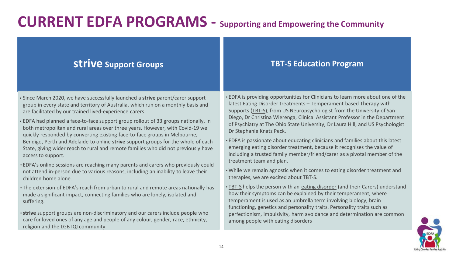### **CURRENT EDFA PROGRAMS - Supporting and Empowering the Community**

### **strive Support Groups**

- Since March 2020, we have successfully launched a **strive** parent/carer support group in every state and territory of Australia, which run on a monthly basis and are facilitated by our trained lived-experience carers.
- EDFA had planned a face-to-face support group rollout of 33 groups nationally, in both metropolitan and rural areas over three years. However, with Covid-19 we quickly responded by converting existing face-to-face groups in Melbourne, Bendigo, Perth and Adelaide to online **strive** support groups for the whole of each State, giving wider reach to rural and remote families who did not previously have access to support.
- EDFA's online sessions are reaching many parents and carers who previously could not attend in-person due to various reasons, including an inability to leave their children home alone.
- The extension of EDFA's reach from urban to rural and remote areas nationally has made a significant impact, connecting families who are lonely, isolated and suffering.
- **strive** support groups are non-discriminatory and our carers include people who care for loved ones of any age and people of any colour, gender, race, ethnicity, religion and the LGBTQI community.

### **TBT-S Education Program**

- EDFA is providing opportunities for Clinicians to learn more about one of the latest Eating Disorder treatments – Temperament based Therapy with Supports [\(TBT-S](https://edfa.org.au/clinicians/tbt-s/)), from US Neuropsychologist from the University of San Diego, Dr Christina Wierenga, Clinical Assistant Professor in the Department of Psychiatry at The Ohio State University, Dr Laura Hill, and US Psychologist Dr Stephanie Knatz Peck.
- EDFA is passionate about educating clinicians and families about this latest emerging eating disorder treatment, because it recognises the value of including a trusted family member/friend/carer as a pivotal member of the treatment team and plan.
- •While we remain agnostic when it comes to eating disorder treatment and therapies, we are excited about TBT-S.
- [TBT-S](https://edfa.org.au/clinicians/tbt-s/) helps the person with an [eating disorder](https://edfa.org.au/eating-disorders/) (and their Carers) understand how their symptoms can be explained by their temperament, where temperament is used as an umbrella term involving biology, brain functioning, genetics and personality traits. Personality traits such as perfectionism, impulsivity, harm avoidance and determination are common among people with eating disorders

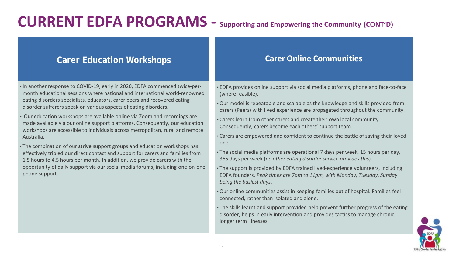### **CURRENT EDFA PROGRAMS - Supporting and Empowering the Community (CONT'D)**

### **Carer Education Workshops**

- In another response to COVID-19, early in 2020, EDFA commenced twice-permonth educational sessions where national and international world-renowned eating disorders specialists, educators, carer peers and recovered eating disorder sufferers speak on various aspects of eating disorders.
- Our education workshops are available online via Zoom and recordings are made available via our online support platforms. Consequently, our education workshops are accessible to individuals across metropolitan, rural and remote Australia.
- The combination of our **strive** support groups and education workshops has effectively tripled our direct contact and support for carers and families from 1.5 hours to 4.5 hours per month. In addition, we provide carers with the opportunity of daily support via our social media forums, including one-on-one phone support.

### **Carer Online Communities**

• EDFA provides online support via social media platforms, phone and face-to-face (where feasible).

- •Our model is repeatable and scalable as the knowledge and skills provided from carers (Peers) with lived experience are propagated throughout the community.
- •Carers learn from other carers and create their own local community. Consequently, carers become each others' support team.
- •Carers are empowered and confident to continue the battle of saving their loved one.
- The social media platforms are operational 7 days per week, 15 hours per day, 365 days per week (*no other eating disorder service provides this*).
- The support is provided by EDFA trained lived-experience volunteers, including EDFA founders, *Peak times are 7pm to 11pm, with Monday, Tuesday, Sunday being the busiest days*.
- •Our online communities assist in keeping families out of hospital. Families feel connected, rather than isolated and alone.
- The skills learnt and support provided help prevent further progress of the eating disorder, helps in early intervention and provides tactics to manage chronic, longer term illnesses.

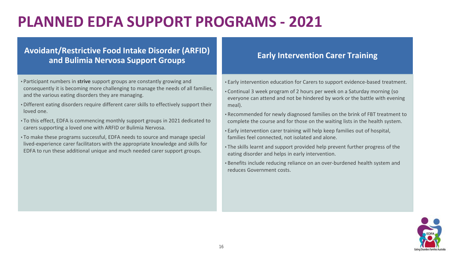# **PLANNED EDFA SUPPORT PROGRAMS - 2021**

### **Avoidant/Restrictive Food Intake Disorder (ARFID) and Bulimia Nervosa Support Groups**

- Participant numbers in **strive** support groups are constantly growing and consequently it is becoming more challenging to manage the needs of all families, and the various eating disorders they are managing.
- •Different eating disorders require different carer skills to effectively support their loved one.
- To this effect, EDFA is commencing monthly support groups in 2021 dedicated to carers supporting a loved one with ARFID or Bulimia Nervosa.
- To make these programs successful, EDFA needs to source and manage special lived-experience carer facilitators with the appropriate knowledge and skills for EDFA to run these additional unique and much needed carer support groups.

### **Early Intervention Carer Training**

- Early intervention education for Carers to support evidence-based treatment.
- •Continual 3 week program of 2 hours per week on a Saturday morning (so everyone can attend and not be hindered by work or the battle with evening meal).
- •Recommended for newly diagnosed families on the brink of FBT treatment to complete the course and for those on the waiting lists in the health system.
- Early intervention carer training will help keep families out of hospital, families feel connected, not isolated and alone.
- The skills learnt and support provided help prevent further progress of the eating disorder and helps in early intervention.
- •Benefits include reducing reliance on an over-burdened health system and reduces Government costs.

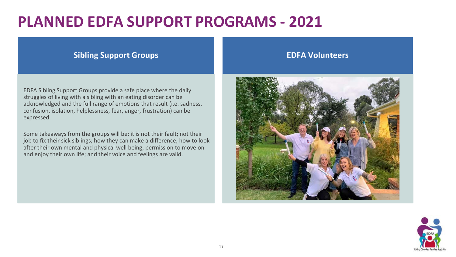### **PLANNED EDFA SUPPORT PROGRAMS - 2021**

### **Sibling Support Groups**

EDFA Sibling Support Groups provide a safe place where the daily struggles of living with a sibling with an eating disorder can be acknowledged and the full range of emotions that result (i.e. sadness, confusion, isolation, helplessness, fear, anger, frustration) can be expressed.

Some takeaways from the groups will be: it is not their fault; not their job to fix their sick siblings; how they can make a difference; how to look after their own mental and physical well being, permission to move on and enjoy their own life; and their voice and feelings are valid.

### **EDFA Volunteers**



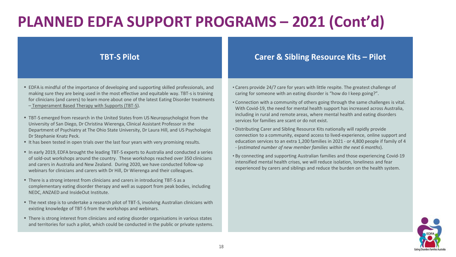# **PLANNED EDFA SUPPORT PROGRAMS – 2021 (Cont'd)**

- EDFA is mindful of the importance of developing and supporting skilled professionals, and making sure they are being used in the most effective and equitable way. TBT-s is training for clinicians (and carers) to learn more about one of the latest Eating Disorder treatments – [Temperament Based Therapy with Supports \(TBT-S\)](https://edfa.org.au/clinicians/tbt-s/).
- TBT-S emerged from research in the United States from US Neuropsychologist from the University of San Diego, Dr Christina Wierenga, Clinical Assistant Professor in the Department of Psychiatry at The Ohio State University, Dr Laura Hill, and US Psychologist Dr Stephanie Knatz Peck.
- It has been tested in open trials over the last four years with very promising results.
- In early 2019, EDFA brought the leading TBT-S experts to Australia and conducted a series of sold-out workshops around the country. These workshops reached over 350 clinicians and carers in Australia and New Zealand. During 2020, we have conducted follow-up webinars for clinicians and carers with Dr Hill, Dr Wierenga and their colleagues.
- There is a strong interest from clinicians and carers in introducing TBT-S as a complementary eating disorder therapy and well as support from peak bodies, including NEDC, ANZAED and InsideOut Institute.
- The next step is to undertake a research pilot of TBT-S, involving Australian clinicians with existing knowledge of TBT-S from the workshops and webinars.
- There is strong interest from clinicians and eating disorder organisations in various states and territories for such a pilot, which could be conducted in the public or private systems.

### **TBT-S Pilot Carer & Sibling Resource Kits – Pilot**

- •Carers provide 24/7 care for years with little respite. The greatest challenge of caring for someone with an eating disorder is "how do I keep going?".
- •Connection with a community of others going through the same challenges is vital. With Covid-19, the need for mental health support has increased across Australia, including in rural and remote areas, where mental health and eating disorders services for families are scant or do not exist.
- •Distributing Carer and Sibling Resource Kits nationally will rapidly provide connection to a community, expand access to lived-experience, online support and education services to an extra 1,200 families in 2021 - or 4,800 people if family of 4 - (*estimated number of new member families within the next 6 months*).
- •By connecting and supporting Australian families and those experiencing Covid-19 intensified mental health crises, we will reduce isolation, loneliness and fear experienced by carers and siblings and reduce the burden on the health system.

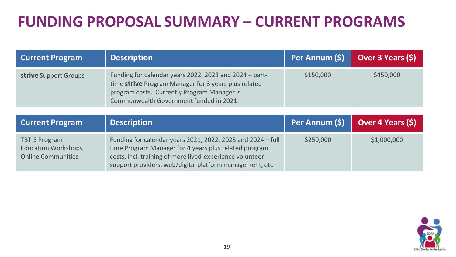# **FUNDING PROPOSAL SUMMARY – CURRENT PROGRAMS**

| <b>Current Program</b> | <b>Description</b>                                                                                                                                                                                       |           | Per Annum $(\xi)$   Over 3 Years $(\xi)$ |
|------------------------|----------------------------------------------------------------------------------------------------------------------------------------------------------------------------------------------------------|-----------|------------------------------------------|
| strive Support Groups  | Funding for calendar years 2022, 2023 and 2024 - part-<br>time strive Program Manager for 3 years plus related<br>program costs. Currently Program Manager is<br>Commonwealth Government funded in 2021. | \$150,000 | \$450,000                                |

| <b>Current Program</b>                                                          | <b>Description</b>                                                                                                                                                                                                                          | Per Annum (\$) Dver 4 Years (\$) |             |
|---------------------------------------------------------------------------------|---------------------------------------------------------------------------------------------------------------------------------------------------------------------------------------------------------------------------------------------|----------------------------------|-------------|
| <b>TBT-S Program</b><br><b>Education Workshops</b><br><b>Online Communities</b> | Funding for calendar years 2021, 2022, 2023 and 2024 - full<br>time Program Manager for 4 years plus related program<br>costs, incl. training of more lived-experience volunteer<br>support providers, web/digital platform management, etc | \$250,000                        | \$1,000,000 |

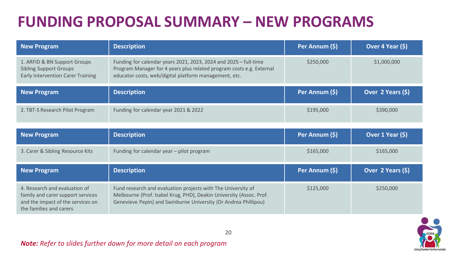# **FUNDING PROPOSAL SUMMARY – NEW PROGRAMS**

| <b>New Program</b>                                                                                                                 | <b>Description</b>                                                                                                                                                                                     | Per Annum (\$) | Over 4 Year (\$)  |
|------------------------------------------------------------------------------------------------------------------------------------|--------------------------------------------------------------------------------------------------------------------------------------------------------------------------------------------------------|----------------|-------------------|
| 1. ARFID & BN Support Groups<br><b>Sibling Support Groups</b><br><b>Early Intervention Carer Training</b>                          | Funding for calendar years 2021, 2023, 2024 and 2025 - full-time<br>Program Manager for 4 years plus related program costs e.g. External<br>educator costs, web/digital platform management, etc.      | \$250,000      | \$1,000,000       |
| <b>New Program</b>                                                                                                                 | <b>Description</b>                                                                                                                                                                                     | Per Annum (\$) | Over 2 Years (\$) |
| 2. TBT-S Research Pilot Program                                                                                                    | Funding for calendar year 2021 & 2022                                                                                                                                                                  | \$195,000      | \$390,000         |
| <b>New Program</b>                                                                                                                 | <b>Description</b>                                                                                                                                                                                     | Per Annum (\$) | Over 1 Year (\$)  |
| 3. Carer & Sibling Resource Kits                                                                                                   | Funding for calendar year - pilot program                                                                                                                                                              | \$165,000      | \$165,000         |
| <b>New Program</b>                                                                                                                 | <b>Description</b>                                                                                                                                                                                     | Per Annum (\$) | Over 2 Years (\$) |
| 4. Research and evaluation of<br>family and carer support services<br>and the impact of the services on<br>the families and carers | Fund research and evaluation projects with The University of<br>Melbourne (Prof. Isabel Krug, PHD), Deakin University (Assoc. Prof.<br>Genevieve Pepin) and Swinburne University (Dr Andrea Phillipou) | \$125,000      | \$250,000         |



### *Note: Refer to slides further down for more detail on each program*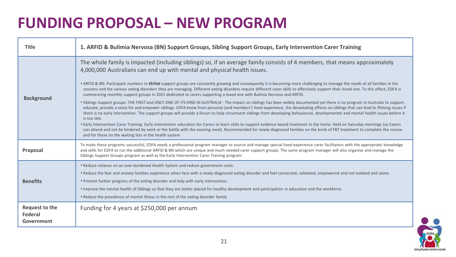| <b>Title</b>                            | 1. ARFID & Bulimia Nervosa (BN) Support Groups, Sibling Support Groups, Early Intervention Carer Training                                                                                                                                                                                                                                                                                                                                                                                                                                                                                                                                                                                                                                                                                                                                                                                                                                                                                                                                                                                                                                                                                                                                                                                                                                                                                                                                                                                                                                                                                                                                                                                                                      |
|-----------------------------------------|--------------------------------------------------------------------------------------------------------------------------------------------------------------------------------------------------------------------------------------------------------------------------------------------------------------------------------------------------------------------------------------------------------------------------------------------------------------------------------------------------------------------------------------------------------------------------------------------------------------------------------------------------------------------------------------------------------------------------------------------------------------------------------------------------------------------------------------------------------------------------------------------------------------------------------------------------------------------------------------------------------------------------------------------------------------------------------------------------------------------------------------------------------------------------------------------------------------------------------------------------------------------------------------------------------------------------------------------------------------------------------------------------------------------------------------------------------------------------------------------------------------------------------------------------------------------------------------------------------------------------------------------------------------------------------------------------------------------------------|
| <b>Background</b>                       | The whole family is impacted (including siblings) so, if an average family consists of 4 members, that means approximately<br>4,000,000 Australians can end up with mental and physical health issues.<br>• ARFID & BN: Participant numbers in <b>strive</b> support groups are constantly growing and consequently it is becoming more challenging to manage the needs of all families in the<br>sessions and the various eating disorders they are managing. Different eating disorders require different carer skills to effectively support their loved one. To this effect, EDFA is<br>commencing monthly support groups in 2021 dedicated to carers supporting a loved one with Bulimia Nervosa and ARFID.<br>. Siblings Support groups: THE FIRST and ONLY ONE OF ITS KIND IN AUSTRALIA - The impact on siblings has been widely documented yet there is no program in Australia to support,<br>educate, provide a voice for and empower siblings. EDFA know from personal (and members') lived experience, the devastating effects on siblings that can lead to lifelong issues if<br>there is no early intervention. The support groups will provide a forum to help circumvent siblings from developing behavioural, developmental and mental health issues before it<br>is too late.<br>. Early Intervention Carer Training: Early intervention education for Carers to learn skills to support evidence based treatment in the home. Held on Saturday mornings (so Carers<br>can attend and not be hindered by work or the battle with the evening meal). Recommended for newly diagnosed families on the brink of FBT treatment to complete the course<br>and for those on the waiting lists in the health system |
| Proposal                                | To make these programs successful, EDFA needs a professional program manager to source and manage special lived-experience carer facilitators with the appropriate knowledge<br>and skills for EDFA to run the additional ARFID & BN which are unique and much needed carer support groups. The same program manager will also organise and manage the<br>Siblings Support Groups program as well as the Early Intervention Carer Training program                                                                                                                                                                                                                                                                                                                                                                                                                                                                                                                                                                                                                                                                                                                                                                                                                                                                                                                                                                                                                                                                                                                                                                                                                                                                             |
| <b>Benefits</b>                         | . Reduce reliance on an over-burdened Health System and reduce government costs.<br>. Reduce the fear and anxiety families experience when face with a newly diagnosed eating disorder and feel connected, validated, empowered and not isolated and alone.<br>. Prevent further progress of the eating disorder and help with early intervention.<br>. Improve the mental health of Siblings so that they are better placed for healthy development and participation in education and the workforce.<br>• Reduce the prevalence of mental illness in the rest of the eating disorder family                                                                                                                                                                                                                                                                                                                                                                                                                                                                                                                                                                                                                                                                                                                                                                                                                                                                                                                                                                                                                                                                                                                                  |
| Request to the<br>Federal<br>Government | Funding for 4 years at \$250,000 per annum                                                                                                                                                                                                                                                                                                                                                                                                                                                                                                                                                                                                                                                                                                                                                                                                                                                                                                                                                                                                                                                                                                                                                                                                                                                                                                                                                                                                                                                                                                                                                                                                                                                                                     |

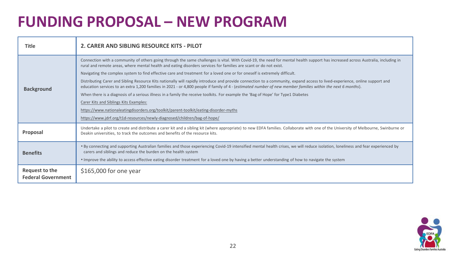| Title                                       | 2. CARER AND SIBLING RESOURCE KITS - PILOT                                                                                                                                                                                                                                                                                                                                                                |
|---------------------------------------------|-----------------------------------------------------------------------------------------------------------------------------------------------------------------------------------------------------------------------------------------------------------------------------------------------------------------------------------------------------------------------------------------------------------|
| <b>Background</b>                           | Connection with a community of others going through the same challenges is vital. With Covid-19, the need for mental health support has increased across Australia, including in<br>rural and remote areas, where mental health and eating disorders services for families are scant or do not exist.                                                                                                     |
|                                             | Navigating the complex system to find effective care and treatment for a loved one or for oneself is extremely difficult.                                                                                                                                                                                                                                                                                 |
|                                             | Distributing Carer and Sibling Resource Kits nationally will rapidly introduce and provide connection to a community, expand access to lived-experience, online support and<br>education services to an extra 1,200 families in 2021 - or 4,800 people if family of 4 - (estimated number of new member families within the next 6 months).                                                               |
|                                             | When there is a diagnosis of a serious illness in a family the receive toolkits. For example the 'Bag of Hope' for Type1 Diabetes                                                                                                                                                                                                                                                                         |
|                                             | Carer Kits and Siblings Kits Examples:                                                                                                                                                                                                                                                                                                                                                                    |
|                                             | https://www.nationaleatingdisorders.org/toolkit/parent-toolkit/eating-disorder-myths                                                                                                                                                                                                                                                                                                                      |
|                                             | https://www.jdrf.org/t1d-resources/newly-diagnosed/children/bag-of-hope/                                                                                                                                                                                                                                                                                                                                  |
| Proposal                                    | Undertake a pilot to create and distribute a carer kit and a sibling kit (where appropriate) to new EDFA families. Collaborate with one of the University of Melbourne, Swinburne or<br>Deakin universities, to track the outcomes and benefits of the resource kits.                                                                                                                                     |
| <b>Benefits</b>                             | . By connecting and supporting Australian families and those experiencing Covid-19 intensified mental health crises, we will reduce isolation, loneliness and fear experienced by<br>carers and siblings and reduce the burden on the health system<br>. Improve the ability to access effective eating disorder treatment for a loved one by having a better understanding of how to navigate the system |
|                                             |                                                                                                                                                                                                                                                                                                                                                                                                           |
| Request to the<br><b>Federal Government</b> | $$165,000$ for one year                                                                                                                                                                                                                                                                                                                                                                                   |

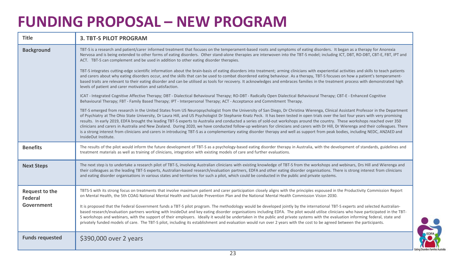| <b>Title</b>                            | <b>3. TBT-S PILOT PROGRAM</b>                                                                                                                                                                                                                                                                                                                                                                                                                                                                                                                                                                                                                                                                                                                                                                                                                                                                                                                                                                                                                                           |
|-----------------------------------------|-------------------------------------------------------------------------------------------------------------------------------------------------------------------------------------------------------------------------------------------------------------------------------------------------------------------------------------------------------------------------------------------------------------------------------------------------------------------------------------------------------------------------------------------------------------------------------------------------------------------------------------------------------------------------------------------------------------------------------------------------------------------------------------------------------------------------------------------------------------------------------------------------------------------------------------------------------------------------------------------------------------------------------------------------------------------------|
| <b>Background</b>                       | TBT-S is a research and patient/carer informed treatment that focuses on the temperament-based roots and symptoms of eating disorders. It began as a therapy for Anorexia<br>Nervosa and is being extended to other forms of eating disorders. Other stand-alone therapies are interwoven into the TBT-S model; including ICT, DBT, RO-DBT, CBT-E, FBT, IPT and<br>ACT. TBT-S can complement and be used in addition to other eating disorder therapies.                                                                                                                                                                                                                                                                                                                                                                                                                                                                                                                                                                                                                |
|                                         | TBT-S integrates cutting-edge scientific information about the brain-basis of eating disorders into treatment; arming clinicians with experiential activities and skills to teach patients<br>and carers about why eating disorders occur, and the skills that can be used to combat disordered eating behaviour. As a therapy, TBT-S focuses on how a patient's temperament-<br>based traits are relevant to their eating disorder and can be utilised as tools for recovery. It acknowledges and embraces families in the treatment process with demonstrated high<br>levels of patient and carer motivation and satisfaction.                                                                                                                                                                                                                                                                                                                                                                                                                                        |
|                                         | ICAT - Integrated Cognitive Affective Therapy; DBT - Dialectical Behavioural Therapy; RO-DBT - Radically Open Dialectical Behavioural Therapy; CBT-E - Enhanced Cognitive<br>Behavioural Therapy; FBT - Family Based Therapy; IPT - Interpersonal Therapy; ACT - Acceptance and Commitment Therapy.                                                                                                                                                                                                                                                                                                                                                                                                                                                                                                                                                                                                                                                                                                                                                                     |
|                                         | TBT-S emerged from research in the United States from US Neuropsychologist from the University of San Diego, Dr Christina Wierenga, Clinical Assistant Professor in the Department<br>of Psychiatry at The Ohio State University, Dr Laura Hill, and US Psychologist Dr Stephanie Knatz Peck. It has been tested in open trials over the last four years with very promising<br>results. In early 2019, EDFA brought the leading TBT-S experts to Australia and conducted a series of sold-out workshops around the country. These workshops reached over 350<br>clinicians and carers in Australia and New Zealand. During 2020, we have conducted follow-up webinars for clinicians and carers with Dr Hill, Dr Wierenga and their colleagues. There<br>is a strong interest from clinicians and carers in introducing TBT-S as a complementary eating disorder therapy and well as support from peak bodies, including NEDC, ANZAED and<br>InsideOut Institute.                                                                                                      |
| <b>Benefits</b>                         | The results of the pilot would inform the future development of TBT-S as a psychology-based eating disorder therapy in Australia, with the development of standards, guidelines and<br>treatment materials as well as training of clinicians, integration with existing models of care and further evaluations.                                                                                                                                                                                                                                                                                                                                                                                                                                                                                                                                                                                                                                                                                                                                                         |
| <b>Next Steps</b>                       | The next step is to undertake a research pilot of TBT-S, involving Australian clinicians with existing knowledge of TBT-S from the workshops and webinars, Drs Hill and Wierenga and<br>their colleagues as the leading TBT-S experts, Australian-based research/evaluation partners, EDFA and other eating disorder organisations. There is strong interest from clinicians<br>and eating disorder organisations in various states and territories for such a pilot, which could be conducted in the public and private systems.                                                                                                                                                                                                                                                                                                                                                                                                                                                                                                                                       |
| Request to the<br>Federal<br>Government | TBTS-S with its strong focus on treatments that involve maximum patient and carer participation closely aligns with the principles espoused in the Productivity Commission Report<br>on Mental Health, the 5th COAG National Mental Health and Suicide Prevention Plan and the National Mental Health Commission Vision 2030.<br>It is proposed that the Federal Government funds a TBT-S pilot program. The methodology would be developed jointly by the international TBT-S experts and selected Australian-<br>based research/evaluation partners working with InsideOut and key eating disorder organisations including EDFA. The pilot would utilise clinicians who have participated in the TBT-<br>S workshops and webinars, with the support of their employers. Ideally it would be undertaken in the public and private systems with the evaluation informing federal, state and<br>privately funded models of care. The TBT-S pilot, including its establishment and evaluation would run over 2 years with the cost to be agreed between the participants. |
| <b>Funds requested</b>                  | \$390,000 over 2 years                                                                                                                                                                                                                                                                                                                                                                                                                                                                                                                                                                                                                                                                                                                                                                                                                                                                                                                                                                                                                                                  |

EDF

**Eating Disorders Families**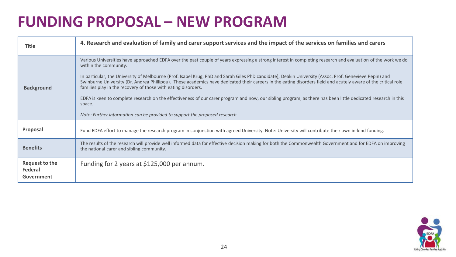| Title                                   | 4. Research and evaluation of family and carer support services and the impact of the services on families and carers                                                                                                                                                                                                                                                                                                                                                                                                                                                                                                                                                                                                                                                                                                                         |
|-----------------------------------------|-----------------------------------------------------------------------------------------------------------------------------------------------------------------------------------------------------------------------------------------------------------------------------------------------------------------------------------------------------------------------------------------------------------------------------------------------------------------------------------------------------------------------------------------------------------------------------------------------------------------------------------------------------------------------------------------------------------------------------------------------------------------------------------------------------------------------------------------------|
| <b>Background</b>                       | Various Universities have approached EDFA over the past couple of years expressing a strong interest in completing research and evaluation of the work we do<br>within the community.<br>In particular, the University of Melbourne (Prof. Isabel Krug, PhD and Sarah Giles PhD candidate), Deakin University (Assoc. Prof. Genevieve Pepin) and<br>Swinburne University (Dr. Andrea Phillipou). These academics have dedicated their careers in the eating disorders field and acutely aware of the critical role<br>families play in the recovery of those with eating disorders.<br>EDFA is keen to complete research on the effectiveness of our carer program and now, our sibling program, as there has been little dedicated research in this<br>space.<br>Note: Further information can be provided to support the proposed research. |
| Proposal                                | Fund EDFA effort to manage the research program in conjunction with agreed University. Note: University will contribute their own in-kind funding.                                                                                                                                                                                                                                                                                                                                                                                                                                                                                                                                                                                                                                                                                            |
| <b>Benefits</b>                         | The results of the research will provide well informed data for effective decision making for both the Commonwealth Government and for EDFA on improving<br>the national carer and sibling community.                                                                                                                                                                                                                                                                                                                                                                                                                                                                                                                                                                                                                                         |
| Request to the<br>Federal<br>Government | Funding for 2 years at \$125,000 per annum.                                                                                                                                                                                                                                                                                                                                                                                                                                                                                                                                                                                                                                                                                                                                                                                                   |

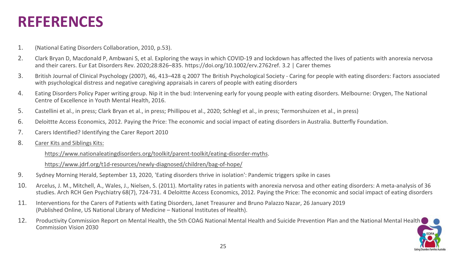### **REFERENCES**

- 1. (National Eating Disorders Collaboration, 2010, p.53).
- 2. Clark Bryan D, Macdonald P, Ambwani S, et al. Exploring the ways in which COVID-19 and lockdown has affected the lives of patients with anorexia nervosa and their carers. Eur Eat Disorders Rev. 2020;28:826–835. https://doi.org/10.1002/erv.2762ref. 3.2 | Carer themes
- 3. British Journal of Clinical Psychology (2007), 46, 413–428 q 2007 The British Psychological Society Caring for people with eating disorders: Factors associated with psychological distress and negative caregiving appraisals in carers of people with eating disorders
- 4. Eating Disorders Policy Paper writing group. Nip it in the bud: Intervening early for young people with eating disorders. Melbourne: Orygen, The National Centre of Excellence in Youth Mental Health, 2016.
- 5. Castellini et al., in press; Clark Bryan et al., in press; Phillipou et al., 2020; Schlegl et al., in press; Termorshuizen et al., in press)
- 6. Deloittte Access Economics, 2012. Paying the Price: The economic and social impact of eating disorders in Australia. Butterfly Foundation.
- 7. Carers Identified? Identifying the Carer Report 2010
- 8. [Carer Kits and Siblings Kits:](https://www.nationaleatingdisorders.org/toolkit/parent-toolkit/eating-disorder-myths)

[https://www.nationaleatingdisorders.org/toolkit/parent-toolkit/eating-disorder-myths.](https://www.nationaleatingdisorders.org/toolkit/parent-toolkit/eating-disorder-myths)

<https://www.jdrf.org/t1d-resources/newly-diagnosed/children/bag-of-hope/>

- 9. Sydney Morning Herald, September 13, 2020, 'Eating disorders thrive in isolation': Pandemic triggers spike in cases
- 10. Arcelus, J. M., Mitchell, A., Wales, J., Nielsen, S. (2011). Mortality rates in patients with anorexia nervosa and other eating disorders: A meta-analysis of 36 studies. Arch RCH Gen Psychiatry 68(7), 724-731. 4 Deloittte Access Economics, 2012. Paying the Price: The economic and social impact of eating disorders
- 11. Interventions for the Carers of Patients with Eating Disorders, Janet Treasurer and Bruno Palazzo Nazar, 26 January 2019 (Published Online, US National Library of Medicine – National Institutes of Health).
- 12. Productivity Commission Report on Mental Health, the 5th COAG National Mental Health and Suicide Prevention Plan and the National Mental Health Commission Vision 2030